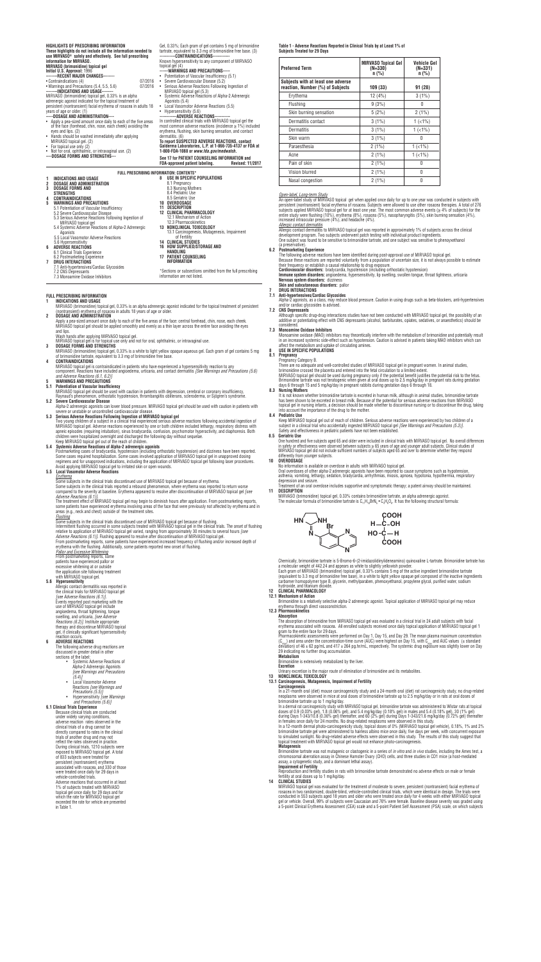#### (a preservative)<br>**6.2 Postmarketing 6.2 Postmarketing Experience**

 5.4 Systemic Adverse Reactions of Alpha-2 Adrenergic Agonists 5.5 Local Vasomotor Adverse Reactions 5.6 Hypersensitivity **6 ADVERSE REACTIONS**

 6.1 Clinical Trials Experience 6.2 Postmarketing Experience **7 DRUG INTERACTIONS** 7.1 Anti-hypertensives/Cardiac Glycosides 7.2 CNS Depressants 7.3 Monoamine Oxidase Inhibitors **16 HOW SUPPLIED/STORAGE AND HANDLING 17 PATIENT COUNSELING INFORMATION** \*Sections or subsections omitted from the full prescribing information are not listed.

13.1 Carcinogenesis, Mutagenesis, Impairment

 of Fertility **14 CLINICAL STUDIES**  **Table 1 - Adverse Reactions Reported in Clinical Trials by at Least 1% of Subjects Treated for 29 Days**

## *Open-label, Long-term Study*

**HIGHLIGHTS OF PRESCRIBING INFORMATION These highlights do not include all the information needed to use MIRVASO® safely and effectively. See full prescribing information for MIRVASO. MIRVASO (brimonidine) topical gel Initial U.S. Approval:** 1996 **--------RECENT MAJOR CHANGES--------** • Contraindications (4)  $07/2016$ <br>• Warnings and Precautions (5.4, 5.5, 5.6)  $07/2016$ • Warnings and Precautions (5.4, 5.5, 5.6) **--------INDICATIONS AND USAGE--------** MIRVASO (brimonidine) topical gel, 0.33% is an alpha adrenergic agonist indicated for the topical treatment of persistent (nontransient) facial erythema of rosacea in adults 18 years of age or older. (1) **-----DOSAGE AND ADMINISTRATION----** • Apply a pea-sized amount once daily to each of the five areas of the face (forehead, chin, nose, each cheek) avoiding the eyes and lips. (2) • Hands should be washed immediately after applying MIRVASO topical gel. (2) • For topical use only (2) • Not for oral, ophthalmic, or intravaginal use. (2) **----DOSAGE FORMS AND STRENGTHS---** Gel, 0.33%; Each gram of gel contains 5 mg of brimonidine tartrate, equivalent to 3.3 mg of brimonidine free base. (3) -CONTRAINDICATIONS--Known hypersensitivity to any component of MIRVASO topical gel (4) **------WARNINGS AND PRECAUTIONS-----** • Potentiation of Vascular Insufficiency (5.1) • Severe Cardiovascular Disease (5.2) • Serious Adverse Reactions Following Ingestion of MIRVASO topical gel (5.3) Systemic Adverse Reactions of Alpha-2 Adrenergic Agonists (5.4) • Local Vasomotor Adverse Reactions (5.5) • Hypersensitivity (5.6) --ADVERŚE<sup>`</sup> reactions--In controlled clinical trials with MIRVASO topical gel the most common adverse reactions (incidence  $\geq$  1%) included erythema, flushing, skin burning sensation, and contact dermatitis. (6) **To report SUSPECTED ADVERSE REACTIONS, contact Galderma Laboratories, L.P. at 1-866-735-4137 or FDA at 1-800-FDA-1088 or** *www.fda.gov/medwatch.* **See 17 for PATIENT COUNSELING INFORMATION and FDA-approved patient labeling. 1 INDICATIONS AND USAGE 2 DOSAGE AND ADMINISTRATION 3 DOSAGE FORMS AND STRENGTHS 4 CONTRAINDICATIONS 5 WARNINGS AND PRECAUTIONS** 5.1 Potentiation of Vascular Insufficiency 5.2 Severe Cardiovascular Disease 5.3 Serious Adverse Reactions Following Ingestion of MIRVASO topical gel **8 USE IN SPECIFIC POPULATIONS** 8.1 Pregnancy 8.3 Nursing Mothers 8.4 Pediatric Use 8.5 Geriatric Use **10 OVERDOSAGE 11 DESCRIPTION 12 CLINICAL PHARMACOLOGY** 12.1 Mechanism of Action 12.3 Pharmacokinetics **13 NONCLINICAL TOXICOLOGY FULL PRESCRIBING INFORMATION: CONTENTS\***

 An open-label study of MIRVASO topical gel when applied once daily for up to one year was conducted in subjects with persistent (nontransient) facial erythema of rosacea. Subjects were allowed to use other rosacea therapies. A total of 276 subjects applied MIRVASO topical gel for at least one year. The most common adverse events (≥ 4% of subjects) for the entire study were flushing (10%), erythema (8%), rosacea (5%), nasopharyngitis (5%), skin burning sensation (4%), increased intraocular pressure (4%), and headache (4%).

#### *Allergic contact dermatitis*

 Allergic contact dermatitis to MIRVASO topical gel was reported in approximately 1% of subjects across the clinical development program. Two subjects underwent patch testing with individual product ingredients. One subject was found to be sensitive to brimonidine tartrate, and one subject was sensitive to phenoyxethanol

- **5 WARNINGS AND PRECAUTIONS**
- **5.1 Potentiation of Vascular Insufficiency**

 The following adverse reactions have been identified during post-approval use of MIRVASO topical gel. Because these reactions are reported voluntarily from a population of uncertain size, it is not always possible to estimate their frequency or establish a causal relationship to drug exposure.

 **Cardiovascular disorders:** bradycardia, hypotension (including orthostatic hypotension) **Immune system disorders:** angioedema, hypersensitivity, lip swelling, swollen tongue, throat tightness, urticaria **Nervous system disorders:** dizziness **Skin and subcutaneous disorders:** pallor

#### **7 DRUG INTERACTIONS 7.1 Anti-hypertensives/Cardiac Glycosides**

Alpha-2 agonists, as a class, may reduce blood pressure. Caution in using drugs such as beta-blockers, anti-hypertensives and/or cardiac glycosides is advised.

## **7.2 CNS Depressants**

 Although specific drug-drug interactions studies have not been conducted with MIRVASO topical gel, the possibility of an additive or potentiating effect with CNS depressants (alcohol, barbiturates, opiates, sedatives, or anaesthetics) should be considered.

The treatment effect of MIRVASO topical gel may begin to diminish hours after application. From postmarketing reports some patients have experienced erythema involving areas of the face that were previously not affected by erythema and in areas (e.g., neck and chest) outside of the treatment sites. *Flushing*

#### **7.3 Monoamine Oxidase Inhibitors**

 Monoamine oxidase (MAO) inhibitors may theoretically interfere with the metabolism of brimonidine and potentially result in an increased systemic side-effect such as hypotension. Caution is advised in patients taking MAO inhibitors which can affect the metabolism and uptake of circulating amines.

 patients have experienced pallor or excessive whitening at or outside the application site following treatment with MIRVASO topical gel.

# **8 USE IN SPECIFIC POPULATIONS**

## **8.1 Pregnancy**

 Pregnancy Category B. There are no adequate and well-controlled studies of MIRVASO topical gel in pregnant women. In animal studies, brimonidine crossed the placenta and entered into the fetal circulation to a limited extent.

 MIRVASO topical gel should be used during pregnancy only if the potential benefit justifies the potential risk to the fetus. Brimonidine tartrate was not teratogenic when given at oral doses up to 2.5 mg/kg/day in pregnant rats during gestation days 6 through 15 and 5 mg/kg/day in pregnant rabbits during gestation days 6 through 18.

#### **8.3 Nursing Mothers**

 It is not known whether brimonidine tartrate is excreted in human milk, although in animal studies, brimonidine tartrate has been shown to be excreted in breast milk. Because of the potential for serious adverse reactions from MIRVASO topical gel in nursing infants, a decision should be made whether to discontinue nursing or to discontinue the drug, taking into account the importance of the drug to the mother.

#### **8.4 Pediatric Use**

 Keep MIRVASO topical gel out of reach of children. Serious adverse reactions were experienced by two children of a subject in a clinical trial who accidentally ingested MIRVASO topical gel *[See Warnings and Precautions (5.3)]*. Safety and effectiveness in pediatric patients have not been established.

## **FULL PRESCRIBING INFORMATION**

**1 INDICATIONS AND USAGE**

 MIRVASO (brimonidine) topical gel, 0.33% is an alpha adrenergic agonist indicated for the topical treatment of persistent (nontransient) erythema of rosacea in adults 18 years of age or older.

**2 DOSAGE AND ADMINISTRATION**

 Apply a pea-sized amount once daily to each of the five areas of the face: central forehead, chin, nose, each cheek. MIRVASO topical gel should be applied smoothly and evenly as a thin layer across the entire face avoiding the eyes and lips.

- Wash hands after applying MIRVASO topical gel. MIRVASO topical gel is for topical use only and not for oral, ophthalmic, or intravaginal use.
- **3 DOSAGE FORMS AND STRENGTHS**

 One hundred and five subjects aged 65 and older were included in clinical trials with MIRVASO topical gel. No overall differences in safety or effectiveness were observed between subjects ≥ 65 years of age and younger adult subjects. Clinical studies of MIRVASO topical gel did not include sufficient numbers of subjects aged 65 and over to determine whether they respond differently from younger subjects.<br>**10 OVERDOSAGE** 

 MIRVASO (brimonidine) topical gel, 0.33% is a white to light yellow opaque aqueous gel. Each gram of gel contains 5 mg of brimonidine tartrate, equivalent to 3.3 mg of brimonidine free base.

**4 CONTRAINDICATIONS**

MIRVASO topical gel is contraindicated in patients who have experienced a hypersensitivity reaction to any component. Reactions have included angioedema, urticaria, and contact dermatitis *[See Warnings and Precautions (5.6) and Adverse Reactions (6.1, 6.2)]*

 MIRVASO topical gel should be used with caution in patients with depression, cerebral or coronary insufficiency, Raynaud's phenomenon, orthostatic hypotension, thrombangiitis obliterans, scleroderma, or Sjögren's syndrome. **5.2 Severe Cardiovascular Disease**

- Alpha-2 adrenergic agonists can lower blood pressure. MIRVASO topical gel should be used with caution in patients with severe or unstable or uncontrolled cardiovascular disease.
- **5.3 Serious Adverse Reactions Following Ingestion of MIRVASO topical gel**

 Two young children of a subject in a clinical trial experienced serious adverse reactions following accidental ingestion of MIRVASO topical gel. Adverse reactions experienced by one or both children included lethargy, respiratory distress with apneic episodes (requiring intubation), sinus bradycardia, confusion, psychomotor hyperactivity, and diaphoresis. Both children were hospitalized overnight and discharged the following day without sequelae. Keep MIRVASO topical gel out of the reach of children.

## **5.4 Systemic Adverse Reactions of Alpha-2 adrenergic agonists**

 Postmarketing cases of bradycardia, hypotension (including orthostatic hypotension) and dizziness have been reported. Some cases required hospitalization. Some cases involved application of MIRVASO topical gel in unapproved dosing regimens and for unapproved indications, including the application of MIRVASO topical gel following laser procedures. Avoid applying MIRVASO topical gel to irritated skin or open wounds.

## **5.5 Local Vasomotor Adverse Reactions**

*Erythema*

 Reproduction and fertility studies in rats with brimonidine tartrate demonstrated no adverse effects on male or female fertility at oral doses up to 1 mg/kg/day.<br>**14 CLINICAL STUDIES** 

 Some subjects in the clinical trials discontinued use of MIRVASO topical gel because of erythema. Some subjects in the clinical trials reported a rebound phenomenon, where erythema was reported to return worse compared to the severity at baseline. Erythema appeared to resolve after discontinuation of MIRVASO topical gel *[see* 

 *Adverse Reactions (6.1)]*.

Some subjects in the clinical trials discontinued use of MIRVASO topical gel because of flushing.

 Intermittent flushing occurred in some subjects treated with MIRVASO topical gel in the clinical trials. The onset of flushing relative to application of MIRVASO topical gel varied, ranging from approximately 30 minutes to several hours *[see Adverse Reactions (6.1)]*. Flushing appeared to resolve after discontinuation of MIRVASO topical gel. From postmarketing reports, some patients have experienced increased frequency of flushing and/or increased depth of

 erythema with the flushing. Additionally, some patients reported new onset of flushing. *Pallor and Excessive Whitening*

From postmarketing reports, some

## **5.6 Hypersensitivity**

 Allergic contact dermatitis was reported in the clinical trials for MIRVASO topical gel *[see Adverse Reactions (6.1)]*. Events reported post marketing with the use of MIRVASO topical gel include angioedema, throat tightening, tongue swelling, and urticaria, *[see Adverse Reactions (6.2)]*. Institute appropriate therapy and discontinue MIRVASO topical gel, if clinically significant hypersensitivity reaction occurs.

## **6 ADVERSE REACTIONS**

 The following adverse drug reactions are discussed in greater detail in other sections of the label:

- Systemic Adverse Reactions of Alpha-2 Adrenergic Agonists  *[see Warnings and Precautions (5.4)]*
- Local Vasomotor Adverse Reactions *[see Warnings and Precautions (5.5)]*
- Hypersensitivity *[see Warnings and Precautions (5.6)]*

## **6.1 Clinical Trials Experience**

 Because clinical trials are conducted under widely varying conditions, adverse reaction rates observed in the clinical trials of a drug cannot be directly compared to rates in the clinical trials of another drug and may not reflect the rates observed in practice. During clinical trials, 1210 subjects were exposed to MIRVASO topical gel. A total of 833 subjects were treated for persistent (nontransient) erythema associated with rosacea, and 330 of those were treated once daily for 29 days in vehicle-controlled trials. Adverse reactions that occurred in at least 1% of subjects treated with MIRVASO topical gel once daily for 29 days and for which the rate for MIRVASO topical gel exceeded the rate for vehicle are presented in Table 1.

The molecular formula of brimonidine tartrate is  ${\sf C}_{11}{\sf H}_{10}$ BrN $_{5}$   $\bullet$   ${\sf C}_{4}{\sf H}_{8}{\sf O}_{6}$ . It has the following structural formula:

| <b>Preferred Term</b>                                                  | <b>MIRVASO Topical Gel</b><br>$(N=330)$<br>$n$ (%) | Vehicle Gel<br>$(N=331)$<br>n(%) |
|------------------------------------------------------------------------|----------------------------------------------------|----------------------------------|
| Subjects with at least one adverse<br>reaction, Number (%) of Subjects | 109 (33)                                           | 91 (28)                          |
| Erythema                                                               | 12 (4%)                                            | $3(1\%)$                         |
| Flushing                                                               | 9(3%)                                              | 0                                |
| Skin burning sensation                                                 | 5(2%)                                              | $2(1\%)$                         |
| Dermatitis contact                                                     | $3(1\%)$                                           | $1(1\%)$                         |
| Dermatitis                                                             | $3(1\%)$                                           | $1( <1\%)$                       |
| Skin warm                                                              | $3(1\%)$                                           | 0                                |
| Paraesthesia                                                           | $2(1\%)$                                           | $1(1\%)$                         |
| Acne                                                                   | $2(1\%)$                                           | $1(1\%)$                         |
| Pain of skin                                                           | $2(1\%)$                                           | 0                                |
| Vision blurred                                                         | $2(1\%)$                                           | 0                                |
| Nasal congestion                                                       | $2(1\%)$                                           | 0                                |

#### **8.5 Geriatric Use**

#### **10 OVERDOSAGE**

No information is available on overdose in adults with MIRVASO topical gel.

 Oral overdoses of other alpha-2 adrenergic agonists have been reported to cause symptoms such as hypotension, asthenia, vomiting, lethargy, sedation, bradycardia, arrhythmias, miosis, apnoea, hypotonia, hypothermia, respiratory depression and seizure.

 Treatment of an oral overdose includes supportive and symptomatic therapy; a patent airway should be maintained. **11 DESCRIPTION**

MIRVASO (brimonidine) topical gel, 0.33% contains brimonidine tartrate, an alpha adrenergic agonist.

 Chemically, brimonidine tartrate is 5-Bromo-6-(2-imidazolidinylideneamino) quinoxaline L-tartrate. Brimonidine tartrate has a molecular weight of 442.24 and appears as white to slightly yellowish powder.

 Each gram of MIRVASO (brimonidine) topical gel, 0.33% contains 5 mg of the active ingredient brimonidine tartrate (equivalent to 3.3 mg of brimonidine free base), in a white to light yellow opaque gel composed of the inactive ingredients carbomer homopolymer type B, glycerin, methylparaben, phenoxyethanol, propylene glycol, purified water, sodium hydroxide, and titanium dioxide.

## **12 CLINICAL PHARMACOLOGY**

## **12.1 Mechanism of Action**

 Brimonidine is a relatively selective alpha-2 adrenergic agonist. Topical application of MIRVASO topical gel may reduce erythema through direct vasoconstriction.

#### **12.3 Pharmacokinetics Absorption**

The absorption of brimonidine from MIRVASO topical gel was evaluated in a clinical trial in 24 adult subjects with facial erythema associated with rosacea. All enrolled subjects received once daily topical application of MIRVASO topical gel 1 gram to the entire face for 29 days.

 Pharmacokinetic assessments were performed on Day 1, Day 15, and Day 29. The mean plasma maximum concentration (C<sub>max</sub>) and area under the concentration-time curve (AUC) were highest on Day 15, with C<sub>max</sub> and AUC values (± standard<br>deviation) of 46 ± 62 pg/mL and 417 ± 264 pg.hr/mL, respectively. The systemic drug exposure was sli 29 indicating no further drug accumulation.

### **Metabolism**

Brimonidine is extensively metabolized by the liver.

**Excretion**

Urinary excretion is the major route of elimination of brimonidine and its metabolites.

**13 NONCLINICAL TOXICOLOGY**

#### **13.1 Carcinogenesis, Mutagenesis, Impairment of Fertility**

 **Carcinogenesis**

 In a 21-month oral (diet) mouse carcinogenicity study and a 24-month oral (diet) rat carcinogenicity study, no drug-related neoplasms were observed in mice at oral doses of brimonidine tartrate up to 2.5 mg/kg/day or in rats at oral doses of brimonidine tartrate up to 1 mg/kg/day.

 In a dermal rat carcinogenicity study with MIRVASO topical gel, brimonidine tartrate was administered to Wistar rats at topical doses of 0.9 (0.03% gel), 1.8 (0.06% gel), and 5.4 mg/kg/day (0.18% gel) in males and 5.4 (0.18% gel), 30 (1% gel) during Days 1-343/10.8 (0.36% gel) thereafter, and 60 (2% gel) during Days 1-343/21.6 mg/kg/day (0.72% gel) thereafter in females once daily for 24 months. No drug-related neoplasms were observed in this study.

 In a 12-month dermal photo-carcinogenicity study, topical doses of 0% (MIRVASO topical gel vehicle), 0.18%, 1% and 2% brimonidine tartrate gel were administered to hairless albino mice once daily, five days per week, with concurrent exposure to simulated sunlight. No drug-related adverse effects were observed in this study. The results of this study suggest that topical treatment with MIRVASO topical gel would not enhance photo-carcinogenesis.

#### **Mutagenesis**

 Brimonidine tartrate was not mutagenic or clastogenic in a series of *in vitro* and *in vivo* studies, including the Ames test, a chromosomal aberration assay in Chinese Hamster Ovary (CHO) cells, and three studies in CD1 mice (a host-mediated assay, a cytogenetic study, and a dominant lethal assay).

### **Impairment of Fertility**

#### **14 CLINICAL STUDIES**

 MIRVASO topical gel was evaluated for the treatment of moderate to severe, persistent (nontransient) facial erythema of rosacea in two randomized, double-blind, vehicle-controlled clinical trials, which were identical in design. The trials were conducted in 553 subjects aged 18 years and older who were treated once daily for 4 weeks with either MIRVASO topical gel or vehicle. Overall, 99% of subjects were Caucasian and 76% were female. Baseline disease severity was graded using a 5-point Clinical Erythema Assessment (CEA) scale and a 5-point Patient Self Assessment (PSA) scale, on which subjects



**Revised: 11/2017**